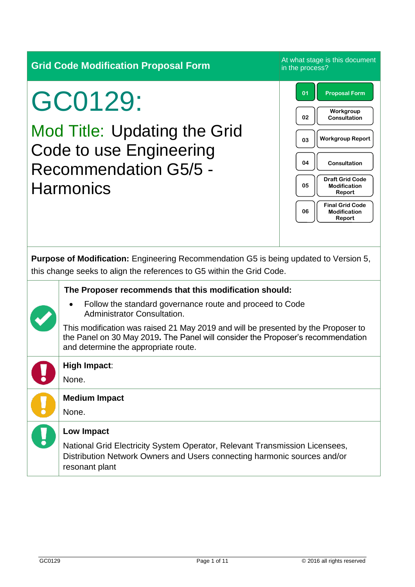**Grid Code Modification Proposal Form** At what stage is this document

# GC0129:

Mod Title: Updating the Grid Code to use Engineering Recommendation G5/5 - **Harmonics** 

in the process? **01 Proposal Form 02 Workgroup Consultation 03 Workgroup Report 05 Draft Grid Code Modification Report 06 Final Grid Code Modification Report 04 Consultation**

**Purpose of Modification:** Engineering Recommendation G5 is being updated to Version 5, this change seeks to align the references to G5 within the Grid Code.

#### **The Proposer recommends that this modification should:**

• Follow the standard governance route and proceed to Code Administrator Consultation.

This modification was raised 21 May 2019 and will be presented by the Proposer to the Panel on 30 May 2019**.** The Panel will consider the Proposer's recommendation and determine the appropriate route.

# **High Impact**:

None.

None.

#### **Low Impact**

**Medium Impact**

National Grid Electricity System Operator, Relevant Transmission Licensees, Distribution Network Owners and Users connecting harmonic sources and/or resonant plant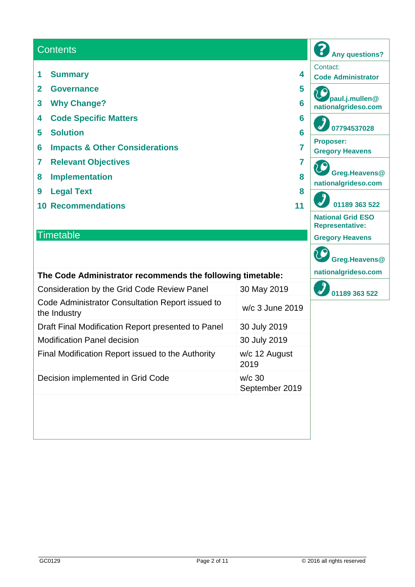#### **Contents**

- **1 Summary 4**
- **2 Governance 5**
- **3 Why Change? 6**
- **4 Code Specific Matters 6**
- **5 Solution 6**
- **6 Impacts & Other Considerations 7**
- **7 Relevant Objectives 7**
- **8 Implementation 8**
- **9 Legal Text 8**
- **10 Recommendations 11**

#### **Timetable**

#### **The Code Administrator recommends the following timetable:**

| <b>Consideration by the Grid Code Review Panel</b>               | 30 May 2019                |
|------------------------------------------------------------------|----------------------------|
| Code Administrator Consultation Report issued to<br>the Industry | w/c 3 June 2019            |
| Draft Final Modification Report presented to Panel               | 30 July 2019               |
| <b>Modification Panel decision</b>                               | 30 July 2019               |
| Final Modification Report issued to the Authority                | w/c 12 August<br>2019      |
| Decision implemented in Grid Code                                | $w/c$ 30<br>September 2019 |

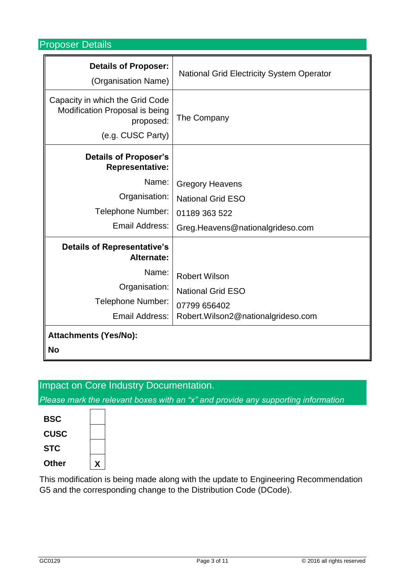Proposer Details

| <b>Details of Proposer:</b><br>(Organisation Name)                                                  | <b>National Grid Electricity System Operator</b> |
|-----------------------------------------------------------------------------------------------------|--------------------------------------------------|
| Capacity in which the Grid Code<br>Modification Proposal is being<br>proposed:<br>(e.g. CUSC Party) | The Company                                      |
| <b>Details of Proposer's</b><br><b>Representative:</b>                                              |                                                  |
| Name:                                                                                               | <b>Gregory Heavens</b>                           |
| Organisation:                                                                                       | <b>National Grid ESO</b>                         |
| Telephone Number:                                                                                   | 01189 363 522                                    |
| Email Address:                                                                                      | Greg.Heavens@nationalgrideso.com                 |
| <b>Details of Representative's</b><br>Alternate:                                                    |                                                  |
| Name:                                                                                               | <b>Robert Wilson</b>                             |
| Organisation:                                                                                       | <b>National Grid ESO</b>                         |
| Telephone Number:                                                                                   | 07799 656402                                     |
| Email Address:                                                                                      | Robert.Wilson2@nationalgrideso.com               |
| <b>Attachments (Yes/No):</b>                                                                        |                                                  |
| <b>No</b>                                                                                           |                                                  |

# Impact on Core Industry Documentation.

*Please mark the relevant boxes with an "x" and provide any supporting information*

| X |  |
|---|--|
|   |  |
|   |  |
|   |  |
|   |  |

This modification is being made along with the update to Engineering Recommendation G5 and the corresponding change to the Distribution Code (DCode).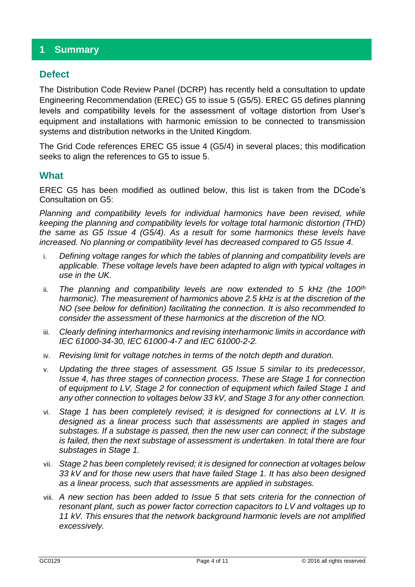## **1 Summary**

## **Defect**

The Distribution Code Review Panel (DCRP) has recently held a consultation to update Engineering Recommendation (EREC) G5 to issue 5 (G5/5). EREC G5 defines planning levels and compatibility levels for the assessment of voltage distortion from User's equipment and installations with harmonic emission to be connected to transmission systems and distribution networks in the United Kingdom.

The Grid Code references EREC G5 issue 4 (G5/4) in several places; this modification seeks to align the references to G5 to issue 5.

#### **What**

EREC G5 has been modified as outlined below, this list is taken from the DCode's Consultation on G5:

*Planning and compatibility levels for individual harmonics have been revised, while keeping the planning and compatibility levels for voltage total harmonic distortion (THD) the same as G5 Issue 4 (G5/4). As a result for some harmonics these levels have increased. No planning or compatibility level has decreased compared to G5 Issue 4.*

- i. *Defining voltage ranges for which the tables of planning and compatibility levels are applicable. These voltage levels have been adapted to align with typical voltages in use in the UK.*
- ii. *The planning and compatibility levels are now extended to 5 kHz (the 100th harmonic). The measurement of harmonics above 2.5 kHz is at the discretion of the NO (see below for definition) facilitating the connection. It is also recommended to consider the assessment of these harmonics at the discretion of the NO.*
- iii. *Clearly defining interharmonics and revising interharmonic limits in accordance with IEC 61000-34-30, IEC 61000-4-7 and IEC 61000-2-2.*
- iv. *Revising limit for voltage notches in terms of the notch depth and duration.*
- v. *Updating the three stages of assessment. G5 Issue 5 similar to its predecessor, Issue 4, has three stages of connection process. These are Stage 1 for connection of equipment to LV, Stage 2 for connection of equipment which failed Stage 1 and any other connection to voltages below 33 kV, and Stage 3 for any other connection.*
- vi. *Stage 1 has been completely revised; it is designed for connections at LV. It is designed as a linear process such that assessments are applied in stages and substages. If a substage is passed, then the new user can connect; if the substage is failed, then the next substage of assessment is undertaken. In total there are four substages in Stage 1.*
- vii. *Stage 2 has been completely revised; it is designed for connection at voltages below 33 kV and for those new users that have failed Stage 1. It has also been designed as a linear process, such that assessments are applied in substages.*
- viii. *A new section has been added to Issue 5 that sets criteria for the connection of resonant plant, such as power factor correction capacitors to LV and voltages up to 11 kV. This ensures that the network background harmonic levels are not amplified excessively.*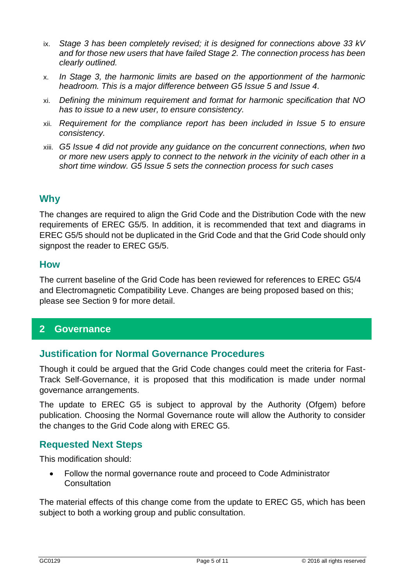- ix. *Stage 3 has been completely revised; it is designed for connections above 33 kV and for those new users that have failed Stage 2. The connection process has been clearly outlined.*
- x. *In Stage 3, the harmonic limits are based on the apportionment of the harmonic headroom. This is a major difference between G5 Issue 5 and Issue 4.*
- xi. *Defining the minimum requirement and format for harmonic specification that NO has to issue to a new user, to ensure consistency.*
- xii. *Requirement for the compliance report has been included in Issue 5 to ensure consistency.*
- xiii. *G5 Issue 4 did not provide any guidance on the concurrent connections, when two or more new users apply to connect to the network in the vicinity of each other in a short time window. G5 Issue 5 sets the connection process for such cases*

## **Why**

The changes are required to align the Grid Code and the Distribution Code with the new requirements of EREC G5/5. In addition, it is recommended that text and diagrams in EREC G5/5 should not be duplicated in the Grid Code and that the Grid Code should only signpost the reader to EREC G5/5.

#### **How**

The current baseline of the Grid Code has been reviewed for references to EREC G5/4 and Electromagnetic Compatibility Leve. Changes are being proposed based on this; please see Section 9 for more detail.

## **2 Governance**

#### **Justification for Normal Governance Procedures**

Though it could be argued that the Grid Code changes could meet the criteria for Fast-Track Self-Governance, it is proposed that this modification is made under normal governance arrangements.

The update to EREC G5 is subject to approval by the Authority (Ofgem) before publication. Choosing the Normal Governance route will allow the Authority to consider the changes to the Grid Code along with EREC G5.

#### **Requested Next Steps**

This modification should:

• Follow the normal governance route and proceed to Code Administrator **Consultation** 

The material effects of this change come from the update to EREC G5, which has been subject to both a working group and public consultation.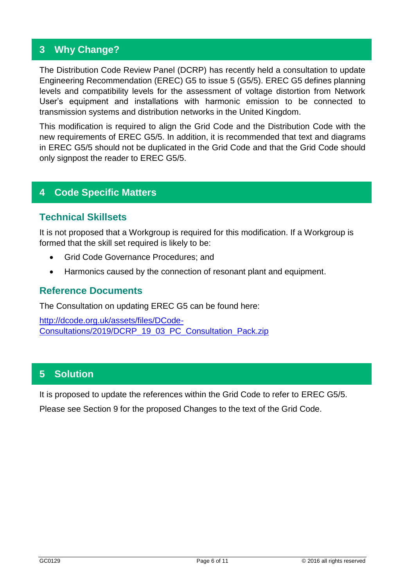## **3 Why Change?**

The Distribution Code Review Panel (DCRP) has recently held a consultation to update Engineering Recommendation (EREC) G5 to issue 5 (G5/5). EREC G5 defines planning levels and compatibility levels for the assessment of voltage distortion from Network User's equipment and installations with harmonic emission to be connected to transmission systems and distribution networks in the United Kingdom.

This modification is required to align the Grid Code and the Distribution Code with the new requirements of EREC G5/5. In addition, it is recommended that text and diagrams in EREC G5/5 should not be duplicated in the Grid Code and that the Grid Code should only signpost the reader to EREC G5/5.

## **4 Code Specific Matters**

#### **Technical Skillsets**

It is not proposed that a Workgroup is required for this modification. If a Workgroup is formed that the skill set required is likely to be:

- Grid Code Governance Procedures; and
- Harmonics caused by the connection of resonant plant and equipment.

#### **Reference Documents**

The Consultation on updating EREC G5 can be found here:

[http://dcode.org.uk/assets/files/DCode-](http://dcode.org.uk/assets/files/DCode-Consultations/2019/DCRP_19_03_PC_Consultation_Pack.zip)[Consultations/2019/DCRP\\_19\\_03\\_PC\\_Consultation\\_Pack.zip](http://dcode.org.uk/assets/files/DCode-Consultations/2019/DCRP_19_03_PC_Consultation_Pack.zip)

## **5 Solution**

It is proposed to update the references within the Grid Code to refer to EREC G5/5.

Please see Section 9 for the proposed Changes to the text of the Grid Code.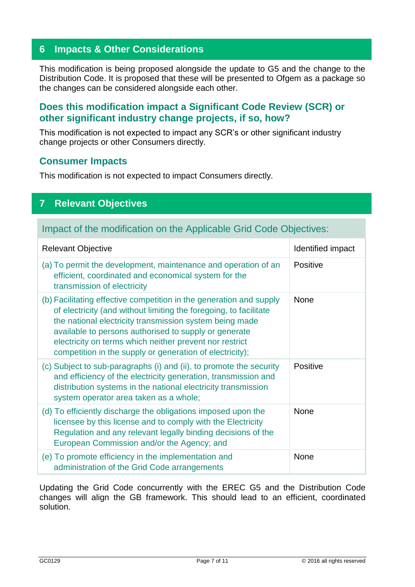## **6 Impacts & Other Considerations**

This modification is being proposed alongside the update to G5 and the change to the Distribution Code. It is proposed that these will be presented to Ofgem as a package so the changes can be considered alongside each other.

## **Does this modification impact a Significant Code Review (SCR) or other significant industry change projects, if so, how?**

This modification is not expected to impact any SCR's or other significant industry change projects or other Consumers directly.

#### **Consumer Impacts**

This modification is not expected to impact Consumers directly.

## **7 Relevant Objectives**

## Impact of the modification on the Applicable Grid Code Objectives:

| <b>Relevant Objective</b>                                                                                                                                                                                                                                                                                                                                                           | Identified impact |
|-------------------------------------------------------------------------------------------------------------------------------------------------------------------------------------------------------------------------------------------------------------------------------------------------------------------------------------------------------------------------------------|-------------------|
| (a) To permit the development, maintenance and operation of an<br>efficient, coordinated and economical system for the<br>transmission of electricity                                                                                                                                                                                                                               | Positive          |
| (b) Facilitating effective competition in the generation and supply<br>of electricity (and without limiting the foregoing, to facilitate<br>the national electricity transmission system being made<br>available to persons authorised to supply or generate<br>electricity on terms which neither prevent nor restrict<br>competition in the supply or generation of electricity); | <b>None</b>       |
| (c) Subject to sub-paragraphs (i) and (ii), to promote the security<br>and efficiency of the electricity generation, transmission and<br>distribution systems in the national electricity transmission<br>system operator area taken as a whole;                                                                                                                                    | Positive          |
| (d) To efficiently discharge the obligations imposed upon the<br>licensee by this license and to comply with the Electricity<br>Regulation and any relevant legally binding decisions of the<br>European Commission and/or the Agency; and                                                                                                                                          | <b>None</b>       |
| (e) To promote efficiency in the implementation and<br>administration of the Grid Code arrangements                                                                                                                                                                                                                                                                                 | <b>None</b>       |

Updating the Grid Code concurrently with the EREC G5 and the Distribution Code changes will align the GB framework. This should lead to an efficient, coordinated solution.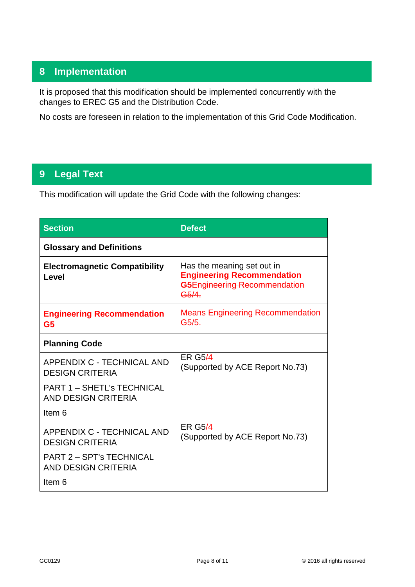## **8 Implementation**

It is proposed that this modification should be implemented concurrently with the changes to EREC G5 and the Distribution Code.

No costs are foreseen in relation to the implementation of this Grid Code Modification.

## **9 Legal Text**

This modification will update the Grid Code with the following changes:

| <b>Section</b>                                                | <b>Defect</b>                                                                                            |
|---------------------------------------------------------------|----------------------------------------------------------------------------------------------------------|
| <b>Glossary and Definitions</b>                               |                                                                                                          |
| <b>Electromagnetic Compatibility</b><br>Level                 | Has the meaning set out in<br><b>Engineering Recommendation</b><br>G5Engineering Recommendation<br>G5/4. |
| <b>Engineering Recommendation</b><br>G <sub>5</sub>           | <b>Means Engineering Recommendation</b><br>G5/5.                                                         |
| <b>Planning Code</b>                                          |                                                                                                          |
| <b>APPENDIX C - TECHNICAL AND</b><br><b>DESIGN CRITERIA</b>   | <b>ER G5/4</b><br>(Supported by ACE Report No.73)                                                        |
| <b>PART 1 - SHETL's TECHNICAL</b><br>AND DESIGN CRITERIA      |                                                                                                          |
| Item 6                                                        |                                                                                                          |
| APPENDIX C - TECHNICAL AND<br><b>DESIGN CRITERIA</b>          | <b>ER G5/4</b><br>(Supported by ACE Report No.73)                                                        |
| <b>PART 2 - SPT's TECHNICAL</b><br><b>AND DESIGN CRITERIA</b> |                                                                                                          |
| Item 6                                                        |                                                                                                          |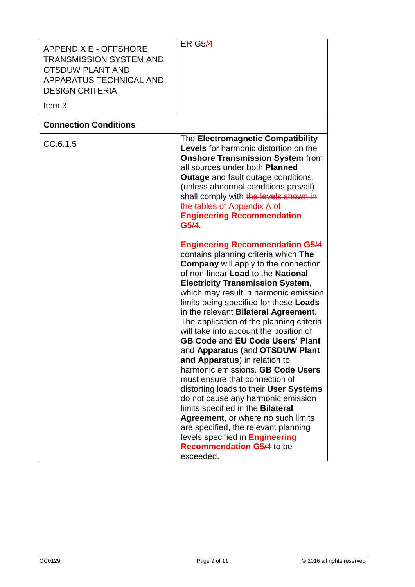| <b>APPENDIX E - OFFSHORE</b><br><b>TRANSMISSION SYSTEM AND</b><br><b>OTSDUW PLANT AND</b><br>APPARATUS TECHNICAL AND<br><b>DESIGN CRITERIA</b><br>Item <sub>3</sub> | <b>ER G5/4</b>                                                                                                                                                                                                                                                                                                                                                                                                                                                                                                                                                                                                                                                                                                                                                                                                                                                                                                                                                                                                                                                                                                                                                                                                                                                                                   |
|---------------------------------------------------------------------------------------------------------------------------------------------------------------------|--------------------------------------------------------------------------------------------------------------------------------------------------------------------------------------------------------------------------------------------------------------------------------------------------------------------------------------------------------------------------------------------------------------------------------------------------------------------------------------------------------------------------------------------------------------------------------------------------------------------------------------------------------------------------------------------------------------------------------------------------------------------------------------------------------------------------------------------------------------------------------------------------------------------------------------------------------------------------------------------------------------------------------------------------------------------------------------------------------------------------------------------------------------------------------------------------------------------------------------------------------------------------------------------------|
| <b>Connection Conditions</b>                                                                                                                                        |                                                                                                                                                                                                                                                                                                                                                                                                                                                                                                                                                                                                                                                                                                                                                                                                                                                                                                                                                                                                                                                                                                                                                                                                                                                                                                  |
| CC.6.1.5                                                                                                                                                            | The Electromagnetic Compatibility<br><b>Levels</b> for harmonic distortion on the<br><b>Onshore Transmission System from</b><br>all sources under both Planned<br><b>Outage</b> and fault outage conditions,<br>(unless abnormal conditions prevail)<br>shall comply with the levels shown in<br>the tables of Appendix A of<br><b>Engineering Recommendation</b><br>G5/4<br><b>Engineering Recommendation G5/4</b><br>contains planning criteria which The<br><b>Company</b> will apply to the connection<br>of non-linear Load to the National<br><b>Electricity Transmission System,</b><br>which may result in harmonic emission<br>limits being specified for these Loads<br>in the relevant Bilateral Agreement.<br>The application of the planning criteria<br>will take into account the position of<br><b>GB Code and EU Code Users' Plant</b><br>and Apparatus (and OTSDUW Plant<br>and Apparatus) in relation to<br>harmonic emissions. GB Code Users<br>must ensure that connection of<br>distorting loads to their User Systems<br>do not cause any harmonic emission<br>limits specified in the Bilateral<br>Agreement, or where no such limits<br>are specified, the relevant planning<br>levels specified in <b>Engineering</b><br><b>Recommendation G5/4 to be</b><br>exceeded. |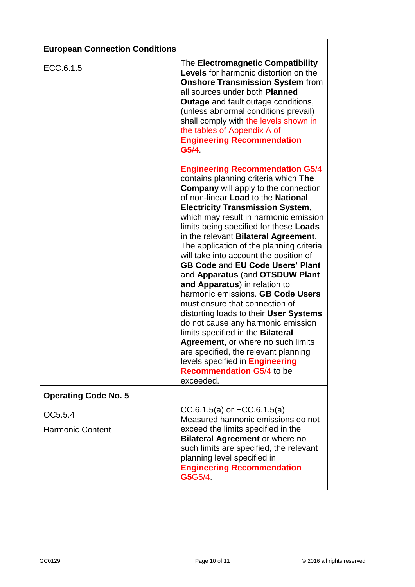| <b>European Connection Conditions</b> |                                                                                                                                                                                                                                                                                                                                                                                                                                                                                                                                                                                                                                                                                                                                                                                                                                                                                                                                    |
|---------------------------------------|------------------------------------------------------------------------------------------------------------------------------------------------------------------------------------------------------------------------------------------------------------------------------------------------------------------------------------------------------------------------------------------------------------------------------------------------------------------------------------------------------------------------------------------------------------------------------------------------------------------------------------------------------------------------------------------------------------------------------------------------------------------------------------------------------------------------------------------------------------------------------------------------------------------------------------|
| ECC.6.1.5                             | The Electromagnetic Compatibility<br><b>Levels</b> for harmonic distortion on the<br><b>Onshore Transmission System from</b><br>all sources under both <b>Planned</b><br><b>Outage</b> and fault outage conditions,<br>(unless abnormal conditions prevail)<br>shall comply with the levels shown in<br>the tables of Appendix A of<br><b>Engineering Recommendation</b><br>G5/4                                                                                                                                                                                                                                                                                                                                                                                                                                                                                                                                                   |
|                                       | <b>Engineering Recommendation G5/4</b><br>contains planning criteria which The<br><b>Company</b> will apply to the connection<br>of non-linear Load to the National<br><b>Electricity Transmission System,</b><br>which may result in harmonic emission<br>limits being specified for these Loads<br>in the relevant <b>Bilateral Agreement</b> .<br>The application of the planning criteria<br>will take into account the position of<br><b>GB Code and EU Code Users' Plant</b><br>and Apparatus (and OTSDUW Plant<br>and Apparatus) in relation to<br>harmonic emissions. GB Code Users<br>must ensure that connection of<br>distorting loads to their User Systems<br>do not cause any harmonic emission<br>limits specified in the Bilateral<br><b>Agreement, or where no such limits</b><br>are specified, the relevant planning<br>levels specified in <b>Engineering</b><br><b>Recommendation G5/4 to be</b><br>exceeded. |
| <b>Operating Code No. 5</b>           |                                                                                                                                                                                                                                                                                                                                                                                                                                                                                                                                                                                                                                                                                                                                                                                                                                                                                                                                    |
| OC5.5.4<br><b>Harmonic Content</b>    | CC.6.1.5(a) or ECC.6.1.5(a)<br>Measured harmonic emissions do not<br>exceed the limits specified in the<br><b>Bilateral Agreement or where no</b><br>such limits are specified, the relevant<br>planning level specified in<br><b>Engineering Recommendation</b><br>G5 <del>G5/4</del>                                                                                                                                                                                                                                                                                                                                                                                                                                                                                                                                                                                                                                             |